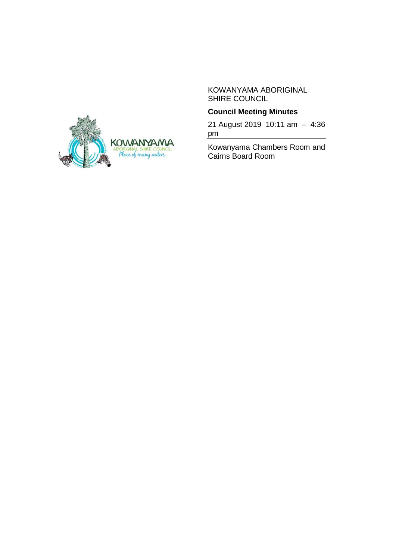KOWANYAMA ABORIGINAL SHIRE COUNCIL

# **Council Meeting Minutes**

21 August 2019 10:11 am – 4:36 pm

Kowanyama Chambers Room and Cairns Board Room

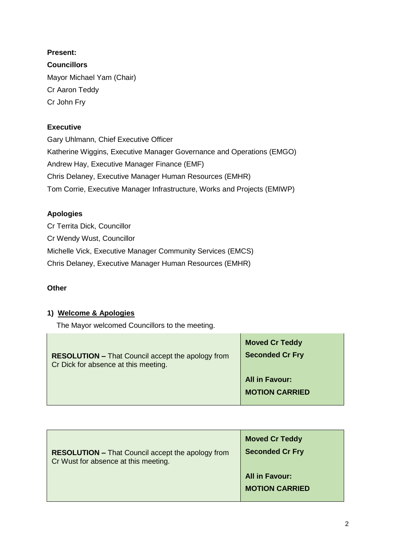**Present: Councillors** Mayor Michael Yam (Chair) Cr Aaron Teddy Cr John Fry

# **Executive**

Gary Uhlmann, Chief Executive Officer Katherine Wiggins, Executive Manager Governance and Operations (EMGO) Andrew Hay, Executive Manager Finance (EMF) Chris Delaney, Executive Manager Human Resources (EMHR) Tom Corrie, Executive Manager Infrastructure, Works and Projects (EMIWP)

# **Apologies**

Cr Territa Dick, Councillor Cr Wendy Wust, Councillor Michelle Vick, Executive Manager Community Services (EMCS) Chris Delaney, Executive Manager Human Resources (EMHR)

# **Other**

# **1) Welcome & Apologies**

The Mayor welcomed Councillors to the meeting.

| <b>RESOLUTION - That Council accept the apology from</b><br>Cr Dick for absence at this meeting. | <b>Moved Cr Teddy</b><br><b>Seconded Cr Fry</b> |
|--------------------------------------------------------------------------------------------------|-------------------------------------------------|
|                                                                                                  | <b>All in Favour:</b>                           |
|                                                                                                  | <b>MOTION CARRIED</b>                           |
|                                                                                                  |                                                 |

| <b>RESOLUTION - That Council accept the apology from</b> | <b>Moved Cr Teddy</b>                          |
|----------------------------------------------------------|------------------------------------------------|
| Cr Wust for absence at this meeting.                     | <b>Seconded Cr Fry</b>                         |
|                                                          | <b>All in Favour:</b><br><b>MOTION CARRIED</b> |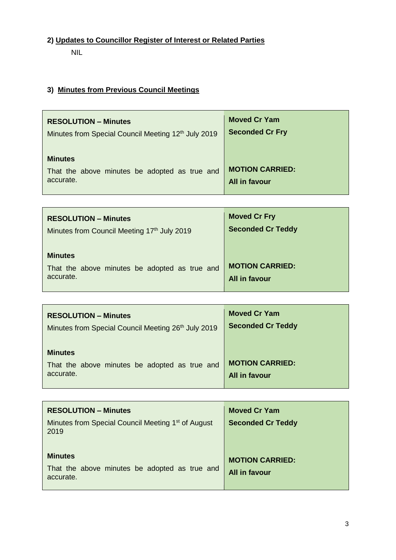# **2) Updates to Councillor Register of Interest or Related Parties**

NIL

# **3) Minutes from Previous Council Meetings**

| <b>RESOLUTION – Minutes</b>                                                  | <b>Moved Cr Yam</b>                            |
|------------------------------------------------------------------------------|------------------------------------------------|
| Minutes from Special Council Meeting 12 <sup>th</sup> July 2019              | <b>Seconded Cr Fry</b>                         |
| <b>Minutes</b><br>That the above minutes be adopted as true and<br>accurate. | <b>MOTION CARRIED:</b><br><b>All in favour</b> |

| <b>RESOLUTION – Minutes</b>                                                  | <b>Moved Cr Fry</b>                            |
|------------------------------------------------------------------------------|------------------------------------------------|
| Minutes from Council Meeting 17th July 2019                                  | <b>Seconded Cr Teddy</b>                       |
| <b>Minutes</b><br>That the above minutes be adopted as true and<br>accurate. | <b>MOTION CARRIED:</b><br><b>All in favour</b> |

| <b>RESOLUTION - Minutes</b>                                                  | <b>Moved Cr Yam</b>                            |
|------------------------------------------------------------------------------|------------------------------------------------|
| Minutes from Special Council Meeting 26 <sup>th</sup> July 2019              | <b>Seconded Cr Teddy</b>                       |
| <b>Minutes</b><br>That the above minutes be adopted as true and<br>accurate. | <b>MOTION CARRIED:</b><br><b>All in favour</b> |

| <b>RESOLUTION – Minutes</b>                                                  | <b>Moved Cr Yam</b>                     |
|------------------------------------------------------------------------------|-----------------------------------------|
| Minutes from Special Council Meeting 1 <sup>st</sup> of August<br>2019       | <b>Seconded Cr Teddy</b>                |
| <b>Minutes</b><br>That the above minutes be adopted as true and<br>accurate. | <b>MOTION CARRIED:</b><br>All in favour |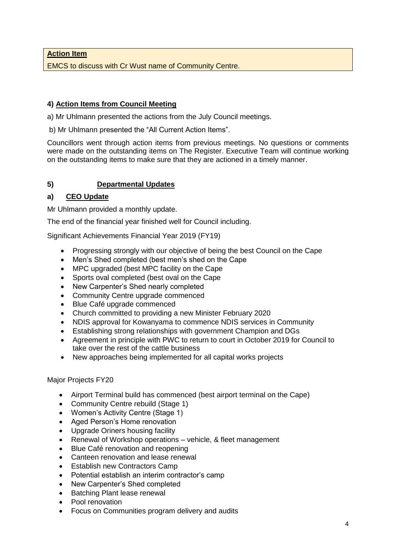**Action Item**

EMCS to discuss with Cr Wust name of Community Centre.

### **4) Action Items from Council Meeting**

a) Mr Uhlmann presented the actions from the July Council meetings.

b) Mr Uhlmann presented the "All Current Action Items".

Councillors went through action items from previous meetings. No questions or comments were made on the outstanding items on The Register. Executive Team will continue working on the outstanding items to make sure that they are actioned in a timely manner.

# **5) Departmental Updates**

### **a) CEO Update**

Mr Uhlmann provided a monthly update.

The end of the financial year finished well for Council including.

Significant Achievements Financial Year 2019 (FY19)

- Progressing strongly with our objective of being the best Council on the Cape
- Men's Shed completed (best men's shed on the Cape
- MPC upgraded (best MPC facility on the Cape
- Sports oval completed (best oval on the Cape
- New Carpenter's Shed nearly completed
- Community Centre upgrade commenced
- Blue Café upgrade commenced
- Church committed to providing a new Minister February 2020
- NDIS approval for Kowanyama to commence NDIS services in Community
- Establishing strong relationships with government Champion and DGs
- Agreement in principle with PWC to return to court in October 2019 for Council to take over the rest of the cattle business
- New approaches being implemented for all capital works projects

#### Major Projects FY20

- Airport Terminal build has commenced (best airport terminal on the Cape)
- Community Centre rebuild (Stage 1)
- Women's Activity Centre (Stage 1)
- Aged Person's Home renovation
- Upgrade Oriners housing facility
- Renewal of Workshop operations vehicle, & fleet management
- Blue Café renovation and reopening
- Canteen renovation and lease renewal
- Establish new Contractors Camp
- Potential establish an interim contractor's camp
- New Carpenter's Shed completed
- Batching Plant lease renewal
- Pool renovation
- Focus on Communities program delivery and audits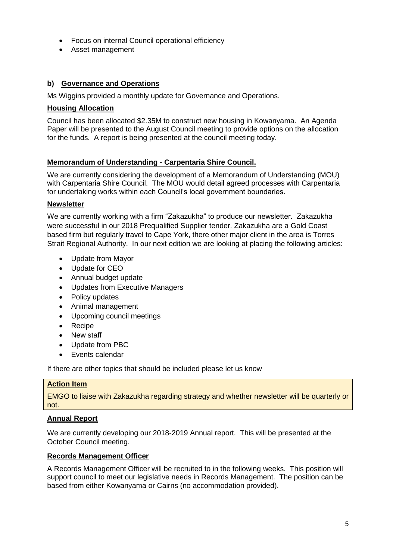- Focus on internal Council operational efficiency
- Asset management

### **b) Governance and Operations**

Ms Wiggins provided a monthly update for Governance and Operations.

### **Housing Allocation**

Council has been allocated \$2.35M to construct new housing in Kowanyama. An Agenda Paper will be presented to the August Council meeting to provide options on the allocation for the funds. A report is being presented at the council meeting today.

#### **Memorandum of Understanding - Carpentaria Shire Council.**

We are currently considering the development of a Memorandum of Understanding (MOU) with Carpentaria Shire Council. The MOU would detail agreed processes with Carpentaria for undertaking works within each Council's local government boundaries.

#### **Newsletter**

We are currently working with a firm "Zakazukha" to produce our newsletter. Zakazukha were successful in our 2018 Prequalified Supplier tender. Zakazukha are a Gold Coast based firm but regularly travel to Cape York, there other major client in the area is Torres Strait Regional Authority. In our next edition we are looking at placing the following articles:

- Update from Mayor
- Update for CEO
- Annual budget update
- Updates from Executive Managers
- Policy updates
- Animal management
- Upcoming council meetings
- Recipe
- New staff
- Update from PBC
- Events calendar

If there are other topics that should be included please let us know

#### **Action Item**

EMGO to liaise with Zakazukha regarding strategy and whether newsletter will be quarterly or not.

#### **Annual Report**

We are currently developing our 2018-2019 Annual report. This will be presented at the October Council meeting.

#### **Records Management Officer**

A Records Management Officer will be recruited to in the following weeks. This position will support council to meet our legislative needs in Records Management. The position can be based from either Kowanyama or Cairns (no accommodation provided).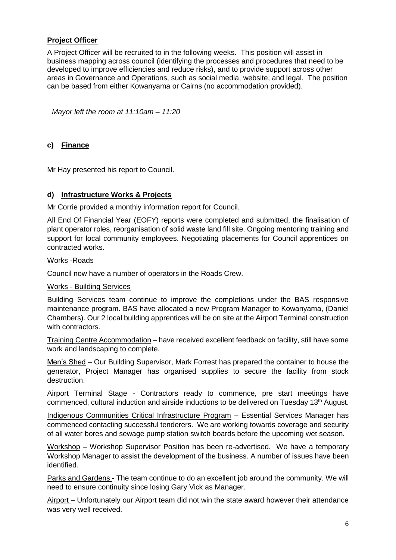# **Project Officer**

A Project Officer will be recruited to in the following weeks. This position will assist in business mapping across council (identifying the processes and procedures that need to be developed to improve efficiencies and reduce risks), and to provide support across other areas in Governance and Operations, such as social media, website, and legal. The position can be based from either Kowanyama or Cairns (no accommodation provided).

*Mayor left the room at 11:10am – 11:20*

### **c) Finance**

Mr Hay presented his report to Council.

#### **d) Infrastructure Works & Projects**

Mr Corrie provided a monthly information report for Council.

All End Of Financial Year (EOFY) reports were completed and submitted, the finalisation of plant operator roles, reorganisation of solid waste land fill site. Ongoing mentoring training and support for local community employees. Negotiating placements for Council apprentices on contracted works.

#### Works -Roads

Council now have a number of operators in the Roads Crew.

#### Works - Building Services

Building Services team continue to improve the completions under the BAS responsive maintenance program. BAS have allocated a new Program Manager to Kowanyama, (Daniel Chambers). Our 2 local building apprentices will be on site at the Airport Terminal construction with contractors.

Training Centre Accommodation – have received excellent feedback on facility, still have some work and landscaping to complete.

Men's Shed – Our Building Supervisor, Mark Forrest has prepared the container to house the generator, Project Manager has organised supplies to secure the facility from stock destruction.

Airport Terminal Stage - Contractors ready to commence, pre start meetings have commenced, cultural induction and airside inductions to be delivered on Tuesday 13<sup>th</sup> August.

Indigenous Communities Critical Infrastructure Program – Essential Services Manager has commenced contacting successful tenderers. We are working towards coverage and security of all water bores and sewage pump station switch boards before the upcoming wet season.

Workshop – Workshop Supervisor Position has been re-advertised. We have a temporary Workshop Manager to assist the development of the business. A number of issues have been identified.

Parks and Gardens - The team continue to do an excellent job around the community. We will need to ensure continuity since losing Gary Vick as Manager.

Airport – Unfortunately our Airport team did not win the state award however their attendance was very well received.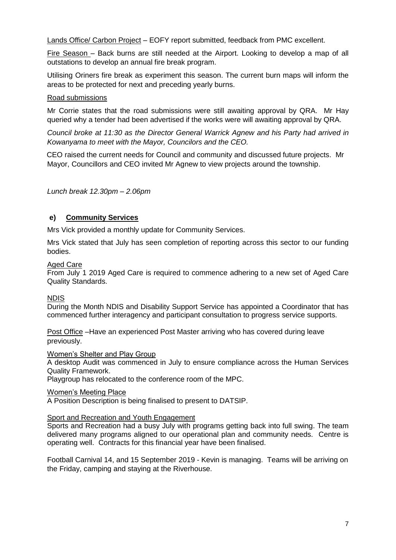Lands Office/ Carbon Project – EOFY report submitted, feedback from PMC excellent.

Fire Season – Back burns are still needed at the Airport. Looking to develop a map of all outstations to develop an annual fire break program.

Utilising Oriners fire break as experiment this season. The current burn maps will inform the areas to be protected for next and preceding yearly burns.

#### Road submissions

Mr Corrie states that the road submissions were still awaiting approval by QRA. Mr Hay queried why a tender had been advertised if the works were will awaiting approval by QRA.

*Council broke at 11:30 as the Director General Warrick Agnew and his Party had arrived in Kowanyama to meet with the Mayor, Councilors and the CEO.* 

CEO raised the current needs for Council and community and discussed future projects. Mr Mayor, Councillors and CEO invited Mr Agnew to view projects around the township.

*Lunch break 12.30pm – 2.06pm*

### **e) Community Services**

Mrs Vick provided a monthly update for Community Services.

Mrs Vick stated that July has seen completion of reporting across this sector to our funding bodies.

#### Aged Care

From July 1 2019 Aged Care is required to commence adhering to a new set of Aged Care Quality Standards.

#### NDIS

During the Month NDIS and Disability Support Service has appointed a Coordinator that has commenced further interagency and participant consultation to progress service supports.

Post Office –Have an experienced Post Master arriving who has covered during leave previously.

#### Women's Shelter and Play Group

A desktop Audit was commenced in July to ensure compliance across the Human Services Quality Framework.

Playgroup has relocated to the conference room of the MPC.

#### Women's Meeting Place

A Position Description is being finalised to present to DATSIP.

#### Sport and Recreation and Youth Engagement

Sports and Recreation had a busy July with programs getting back into full swing. The team delivered many programs aligned to our operational plan and community needs. Centre is operating well. Contracts for this financial year have been finalised.

Football Carnival 14, and 15 September 2019 - Kevin is managing. Teams will be arriving on the Friday, camping and staying at the Riverhouse.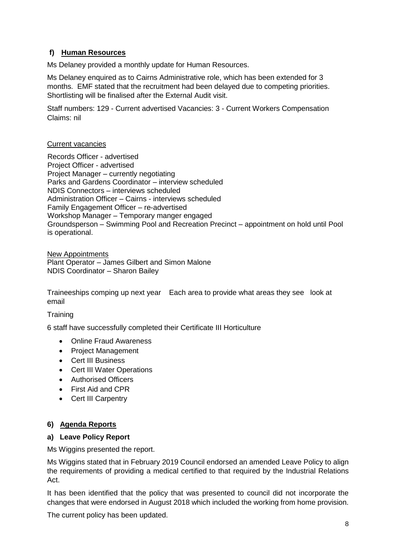# **f) Human Resources**

Ms Delaney provided a monthly update for Human Resources.

Ms Delaney enquired as to Cairns Administrative role, which has been extended for 3 months. EMF stated that the recruitment had been delayed due to competing priorities. Shortlisting will be finalised after the External Audit visit.

Staff numbers: 129 - Current advertised Vacancies: 3 - Current Workers Compensation Claims: nil

### Current vacancies

Records Officer - advertised Project Officer - advertised Project Manager – currently negotiating Parks and Gardens Coordinator – interview scheduled NDIS Connectors – interviews scheduled Administration Officer – Cairns - interviews scheduled Family Engagement Officer – re-advertised Workshop Manager – Temporary manger engaged Groundsperson – Swimming Pool and Recreation Precinct – appointment on hold until Pool is operational.

New Appointments Plant Operator – James Gilbert and Simon Malone NDIS Coordinator – Sharon Bailey

Traineeships comping up next year Each area to provide what areas they see look at email

#### **Training**

6 staff have successfully completed their Certificate III Horticulture

- Online Fraud Awareness
- Project Management
- Cert III Business
- Cert III Water Operations
- Authorised Officers
- First Aid and CPR
- Cert III Carpentry

# **6) Agenda Reports**

#### **a) Leave Policy Report**

Ms Wiggins presented the report.

Ms Wiggins stated that in February 2019 Council endorsed an amended Leave Policy to align the requirements of providing a medical certified to that required by the Industrial Relations Act.

It has been identified that the policy that was presented to council did not incorporate the changes that were endorsed in August 2018 which included the working from home provision.

The current policy has been updated.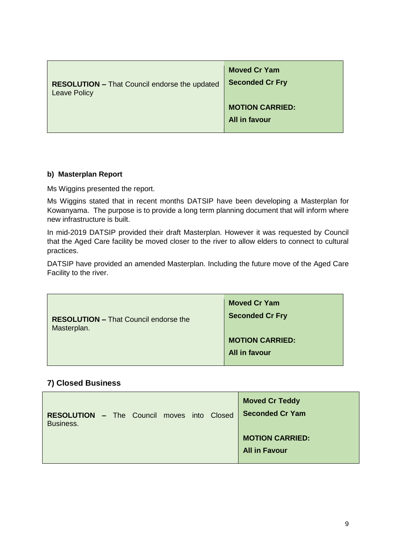| <b>RESOLUTION - That Council endorse the updated</b> | <b>Moved Cr Yam</b>                            |
|------------------------------------------------------|------------------------------------------------|
| <b>Leave Policy</b>                                  | <b>Seconded Cr Fry</b>                         |
|                                                      | <b>MOTION CARRIED:</b><br><b>All in favour</b> |

### **b) Masterplan Report**

Ms Wiggins presented the report.

Ms Wiggins stated that in recent months DATSIP have been developing a Masterplan for Kowanyama. The purpose is to provide a long term planning document that will inform where new infrastructure is built.

In mid-2019 DATSIP provided their draft Masterplan. However it was requested by Council that the Aged Care facility be moved closer to the river to allow elders to connect to cultural practices.

DATSIP have provided an amended Masterplan. Including the future move of the Aged Care Facility to the river.

| <b>RESOLUTION - That Council endorse the</b><br>Masterplan. | <b>Moved Cr Yam</b><br><b>Seconded Cr Fry</b> |
|-------------------------------------------------------------|-----------------------------------------------|
|                                                             | <b>MOTION CARRIED:</b>                        |
|                                                             | All in favour                                 |
|                                                             |                                               |

# **7) Closed Business**

| <b>RESOLUTION - The Council moves into Closed</b><br>Business. |  |  |  | <b>Moved Cr Teddy</b><br><b>Seconded Cr Yam</b> |
|----------------------------------------------------------------|--|--|--|-------------------------------------------------|
|                                                                |  |  |  | <b>MOTION CARRIED:</b><br><b>All in Favour</b>  |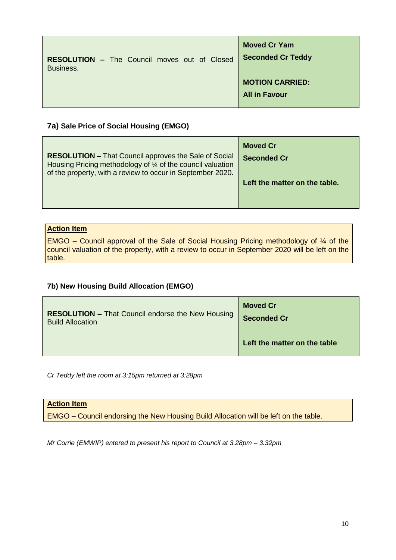| <b>RESOLUTION - The Council moves out of Closed</b> | <b>Moved Cr Yam</b>                            |
|-----------------------------------------------------|------------------------------------------------|
| Business.                                           | <b>Seconded Cr Teddy</b>                       |
|                                                     | <b>MOTION CARRIED:</b><br><b>All in Favour</b> |

# **7a) Sale Price of Social Housing (EMGO)**

| <b>RESOLUTION - That Council approves the Sale of Social</b><br>Housing Pricing methodology of $\frac{1}{4}$ of the council valuation<br>of the property, with a review to occur in September 2020. | <b>Moved Cr</b><br><b>Seconded Cr</b> |
|-----------------------------------------------------------------------------------------------------------------------------------------------------------------------------------------------------|---------------------------------------|
|                                                                                                                                                                                                     | Left the matter on the table.         |

# **Action Item**

EMGO – Council approval of the Sale of Social Housing Pricing methodology of ¼ of the council valuation of the property, with a review to occur in September 2020 will be left on the table.

# **7b) New Housing Build Allocation (EMGO)**

| <b>RESOLUTION - That Council endorse the New Housing</b> | <b>Moved Cr</b>              |
|----------------------------------------------------------|------------------------------|
| <b>Build Allocation</b>                                  | <b>Seconded Cr</b>           |
|                                                          | Left the matter on the table |

*Cr Teddy left the room at 3:15pm returned at 3:28pm*

#### **Action Item**

EMGO – Council endorsing the New Housing Build Allocation will be left on the table.

*Mr Corrie (EMWIP) entered to present his report to Council at 3.28pm – 3.32pm*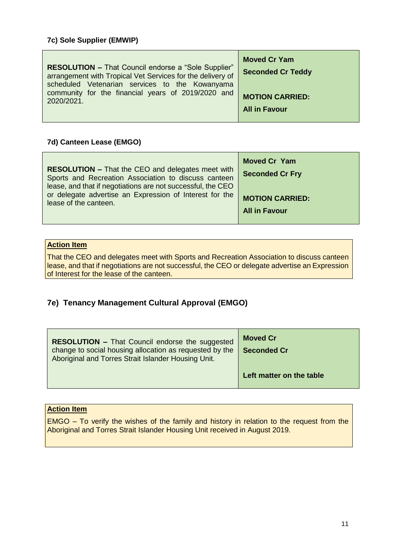| <b>RESOLUTION - That Council endorse a "Sole Supplier"</b><br>arrangement with Tropical Vet Services for the delivery of<br>scheduled Vetenarian services to the Kowanyama | <b>Moved Cr Yam</b><br><b>Seconded Cr Teddy</b> |
|----------------------------------------------------------------------------------------------------------------------------------------------------------------------------|-------------------------------------------------|
| community for the financial years of 2019/2020 and                                                                                                                         | <b>MOTION CARRIED:</b>                          |
| 2020/2021.                                                                                                                                                                 | <b>All in Favour</b>                            |

### **7d) Canteen Lease (EMGO)**

|                                                                                                                                                                                                                                                                     | <b>Moved Cr Yam</b>                            |
|---------------------------------------------------------------------------------------------------------------------------------------------------------------------------------------------------------------------------------------------------------------------|------------------------------------------------|
| <b>RESOLUTION – That the CEO and delegates meet with</b><br>Sports and Recreation Association to discuss canteen<br>lease, and that if negotiations are not successful, the CEO<br>or delegate advertise an Expression of Interest for the<br>lease of the canteen. | <b>Seconded Cr Fry</b>                         |
|                                                                                                                                                                                                                                                                     | <b>MOTION CARRIED:</b><br><b>All in Favour</b> |

# **Action Item**

That the CEO and delegates meet with Sports and Recreation Association to discuss canteen lease, and that if negotiations are not successful, the CEO or delegate advertise an Expression of Interest for the lease of the canteen.

# **7e) Tenancy Management Cultural Approval (EMGO)**

| <b>RESOLUTION - That Council endorse the suggested</b><br>change to social housing allocation as requested by the<br>Aboriginal and Torres Strait Islander Housing Unit. | <b>Moved Cr</b><br><b>Seconded Cr</b> |
|--------------------------------------------------------------------------------------------------------------------------------------------------------------------------|---------------------------------------|
|                                                                                                                                                                          | Left matter on the table              |

### **Action Item**

EMGO – To verify the wishes of the family and history in relation to the request from the Aboriginal and Torres Strait Islander Housing Unit received in August 2019.